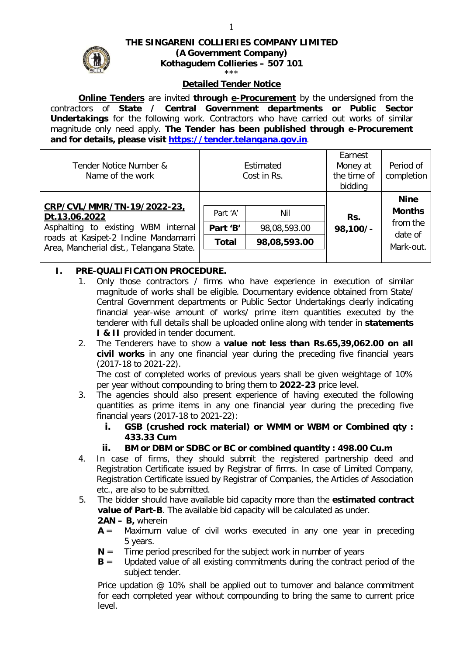

## **THE SINGARENI COLLIERIES COMPANY LIMITED (A Government Company) Kothagudem Collieries – 507 101**

#### \*\*\*

## **Detailed Tender Notice**

**Online Tenders** are invited through e-Procurement by the undersigned from the contractors of **State / Central Government departments or Public Sector Undertakings** for the following work. Contractors who have carried out works of similar magnitude only need apply. **The Tender has been published through e-Procurement and for details, please visit https://tender.telangana.gov.in**.

| Tender Notice Number &<br>Name of the work                                                                                                                              | Estimated<br>Cost in Rs.             |                                     | Earnest<br>Money at<br>the time of<br>bidding | Period of<br>completion                                          |
|-------------------------------------------------------------------------------------------------------------------------------------------------------------------------|--------------------------------------|-------------------------------------|-----------------------------------------------|------------------------------------------------------------------|
| CRP/CVL/MMR/TN-19/2022-23,<br>Dt.13.06.2022<br>Asphalting to existing WBM internal<br>roads at Kasipet-2 Incline Mandamarri<br>Area, Mancherial dist., Telangana State. | Part 'A'<br>Part 'B'<br><b>Total</b> | Nil<br>98,08,593.00<br>98,08,593.00 | Rs.<br>98,100/-                               | <b>Nine</b><br><b>Months</b><br>from the<br>date of<br>Mark-out. |

# **I. PRE-QUALIFICATION PROCEDURE.**

- 1. Only those contractors / firms who have experience in execution of similar magnitude of works shall be eligible. Documentary evidence obtained from State/ Central Government departments or Public Sector Undertakings clearly indicating financial year-wise amount of works/ prime item quantities executed by the tenderer with full details shall be uploaded online along with tender in **statements I & II** provided in tender document.
- 2. The Tenderers have to show a **value not less than Rs.65,39,062.00 on all civil works** in any one financial year during the preceding five financial years (2017-18 to 2021-22).

The cost of completed works of previous years shall be given weightage of 10% per year without compounding to bring them to **2022-23** price level.

- 3. The agencies should also present experience of having executed the following quantities as prime items in any one financial year during the preceding five financial years (2017-18 to 2021-22):
	- **i. GSB (crushed rock material) or WMM or WBM or Combined qty : 433.33 Cum**

## **ii. BM or DBM or SDBC or BC or combined quantity : 498.00 Cu.m**

- 4. In case of firms, they should submit the registered partnership deed and Registration Certificate issued by Registrar of firms. In case of Limited Company, Registration Certificate issued by Registrar of Companies, the Articles of Association etc., are also to be submitted.
- 5. The bidder should have available bid capacity more than the **estimated contract value of Part-B**. The available bid capacity will be calculated as under.

## **2AN – B,** wherein

- **A** = Maximum value of civil works executed in any one year in preceding 5 years.
- $N =$  Time period prescribed for the subject work in number of years
- **B** = Updated value of all existing commitments during the contract period of the subject tender.

Price updation @ 10% shall be applied out to turnover and balance commitment for each completed year without compounding to bring the same to current price level.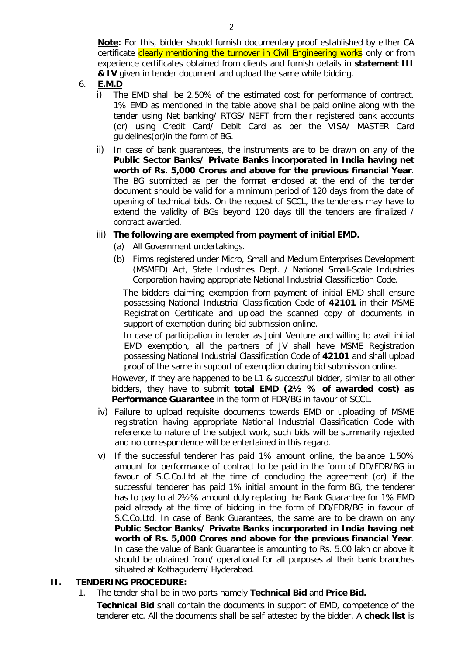**Note:** For this, bidder should furnish documentary proof established by either CA certificate clearly mentioning the turnover in Civil Engineering works only or from experience certificates obtained from clients and furnish details in **statement III & IV** given in tender document and upload the same while bidding.

- 6. **E.M.D**
	- i) The EMD shall be 2.50% of the estimated cost for performance of contract. 1% EMD as mentioned in the table above shall be paid online along with the tender using Net banking/ RTGS/ NEFT from their registered bank accounts (or) using Credit Card/ Debit Card as per the VISA/ MASTER Card guidelines(or)in the form of BG.
	- ii) In case of bank guarantees, the instruments are to be drawn on any of the **Public Sector Banks/ Private Banks incorporated in India having net worth of Rs. 5,000 Crores and above for the previous financial Year**. The BG submitted as per the format enclosed at the end of the tender document should be valid for a minimum period of 120 days from the date of opening of technical bids. On the request of SCCL, the tenderers may have to extend the validity of BGs beyond 120 days till the tenders are finalized / contract awarded.

## iii) **The following are exempted from payment of initial EMD.**

- (a) All Government undertakings.
- (b) Firms registered under Micro, Small and Medium Enterprises Development (MSMED) Act, State Industries Dept. / National Small-Scale Industries Corporation having appropriate National Industrial Classification Code.

 The bidders claiming exemption from payment of initial EMD shall ensure possessing National Industrial Classification Code of **42101** in their MSME Registration Certificate and upload the scanned copy of documents in support of exemption during bid submission online.

 In case of participation in tender as Joint Venture and willing to avail initial EMD exemption, all the partners of JV shall have MSME Registration possessing National Industrial Classification Code of **42101** and shall upload proof of the same in support of exemption during bid submission online.

However, if they are happened to be L1 & successful bidder, similar to all other bidders, they have to submit **total EMD (2½ % of awarded cost) as Performance Guarantee** in the form of FDR/BG in favour of SCCL.

- iv) Failure to upload requisite documents towards EMD or uploading of MSME registration having appropriate National Industrial Classification Code with reference to nature of the subject work, such bids will be summarily rejected and no correspondence will be entertained in this regard.
- v) If the successful tenderer has paid 1% amount online, the balance 1.50% amount for performance of contract to be paid in the form of DD/FDR/BG in favour of S.C.Co.Ltd at the time of concluding the agreement (or) if the successful tenderer has paid 1% initial amount in the form BG, the tenderer has to pay total 2½% amount duly replacing the Bank Guarantee for 1% EMD paid already at the time of bidding in the form of DD/FDR/BG in favour of S.C.Co.Ltd. In case of Bank Guarantees, the same are to be drawn on any **Public Sector Banks/ Private Banks incorporated in India having net worth of Rs. 5,000 Crores and above for the previous financial Year**. In case the value of Bank Guarantee is amounting to Rs. 5.00 lakh or above it should be obtained from/ operational for all purposes at their bank branches situated at Kothagudem/ Hyderabad.

# **II. TENDERING PROCEDURE:**

1. The tender shall be in two parts namely **Technical Bid** and **Price Bid.** 

**Technical Bid** shall contain the documents in support of EMD, competence of the tenderer etc. All the documents shall be self attested by the bidder. A **check list** is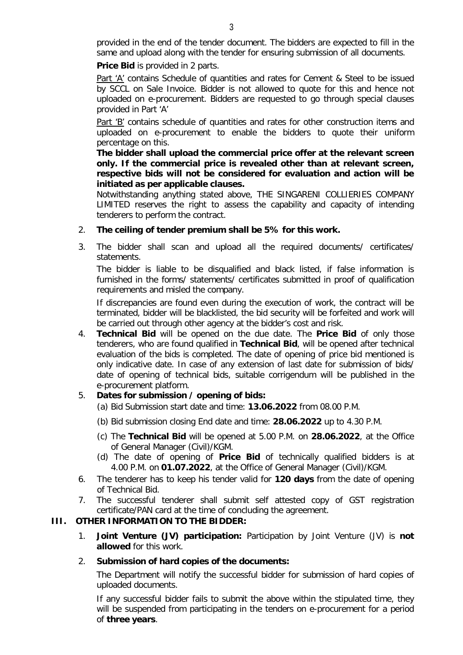provided in the end of the tender document. The bidders are expected to fill in the same and upload along with the tender for ensuring submission of all documents.

**Price Bid** is provided in 2 parts.

Part 'A' contains Schedule of quantities and rates for Cement & Steel to be issued by SCCL on Sale Invoice. Bidder is not allowed to quote for this and hence not uploaded on e-procurement. Bidders are requested to go through special clauses provided in Part 'A'

Part 'B' contains schedule of quantities and rates for other construction items and uploaded on e-procurement to enable the bidders to quote their uniform percentage on this.

**The bidder shall upload the commercial price offer at the relevant screen only. If the commercial price is revealed other than at relevant screen, respective bids will not be considered for evaluation and action will be initiated as per applicable clauses.**

Notwithstanding anything stated above, THE SINGARENI COLLIERIES COMPANY LIMITED reserves the right to assess the capability and capacity of intending tenderers to perform the contract.

- 2. **The ceiling of tender premium shall be 5% for this work.**
- 3. The bidder shall scan and upload all the required documents/ certificates/ statements.

The bidder is liable to be disqualified and black listed, if false information is furnished in the forms/ statements/ certificates submitted in proof of qualification requirements and misled the company.

If discrepancies are found even during the execution of work, the contract will be terminated, bidder will be blacklisted, the bid security will be forfeited and work will be carried out through other agency at the bidder's cost and risk.

4. **Technical Bid** will be opened on the due date. The **Price Bid** of only those tenderers, who are found qualified in **Technical Bid**, will be opened after technical evaluation of the bids is completed. The date of opening of price bid mentioned is only indicative date. In case of any extension of last date for submission of bids/ date of opening of technical bids, suitable corrigendum will be published in the e-procurement platform.

## 5. **Dates for submission / opening of bids:**

- (a) Bid Submission start date and time: **13.06.2022** from 08.00 P.M.
- (b) Bid submission closing End date and time: **28.06.2022** up to 4.30 P.M.
- (c) The **Technical Bid** will be opened at 5.00 P.M. on **28.06.2022**, at the Office of General Manager (Civil)/KGM.
- (d) The date of opening of **Price Bid** of technically qualified bidders is at 4.00 P.M. on **01.07.2022**, at the Office of General Manager (Civil)/KGM.
- 6. The tenderer has to keep his tender valid for **120 days** from the date of opening of Technical Bid.
- 7. The successful tenderer shall submit self attested copy of GST registration certificate/PAN card at the time of concluding the agreement.

## **III. OTHER INFORMATION TO THE BIDDER:**

1. **Joint Venture (JV) participation:** Participation by Joint Venture (JV) is **not allowed** for this work.

## 2. **Submission of hard copies of the documents:**

The Department will notify the successful bidder for submission of hard copies of uploaded documents.

If any successful bidder fails to submit the above within the stipulated time, they will be suspended from participating in the tenders on e-procurement for a period of **three years**.